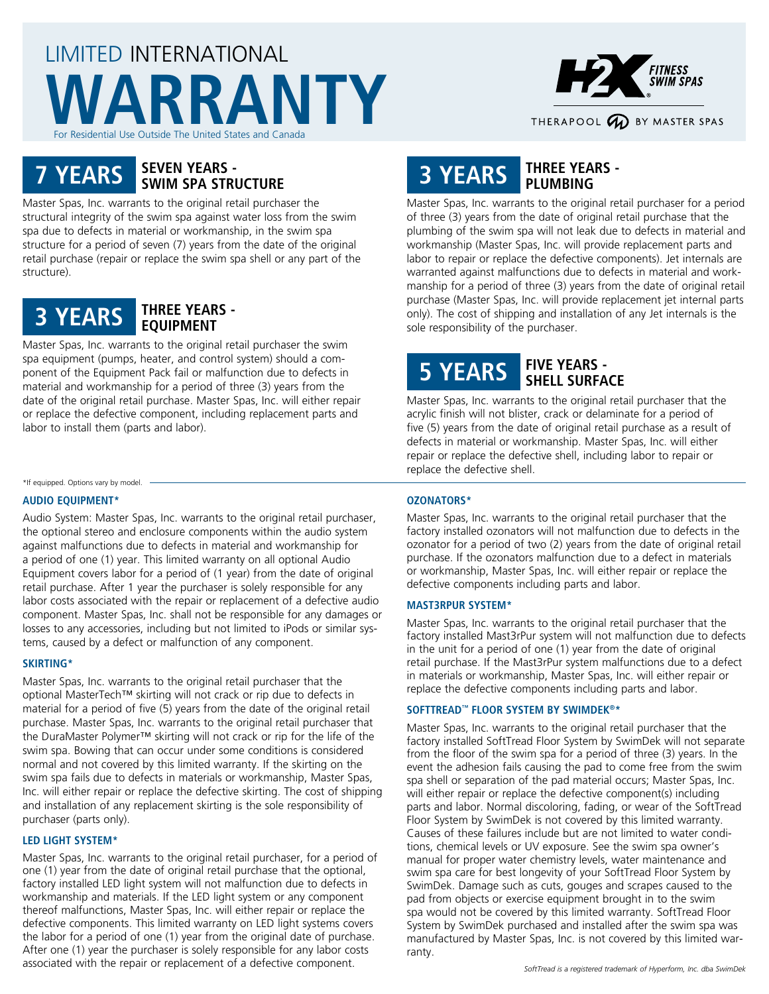# LIMITED INTERNATIONAL **WARRANTY** For Residential Use Outside The United States and Canada



## **7 YEARS SEVEN YEARS - SWIM SPA STRUCTURE**

Master Spas, Inc. warrants to the original retail purchaser the structural integrity of the swim spa against water loss from the swim spa due to defects in material or workmanship, in the swim spa structure for a period of seven (7) years from the date of the original retail purchase (repair or replace the swim spa shell or any part of the structure).



Master Spas, Inc. warrants to the original retail purchaser the swim spa equipment (pumps, heater, and control system) should a component of the Equipment Pack fail or malfunction due to defects in material and workmanship for a period of three (3) years from the date of the original retail purchase. Master Spas, Inc. will either repair or replace the defective component, including replacement parts and labor to install them (parts and labor).

\*If equipped. Options vary by model.

#### **AUDIO EQUIPMENT\***

Audio System: Master Spas, Inc. warrants to the original retail purchaser, the optional stereo and enclosure components within the audio system against malfunctions due to defects in material and workmanship for a period of one (1) year. This limited warranty on all optional Audio Equipment covers labor for a period of (1 year) from the date of original retail purchase. After 1 year the purchaser is solely responsible for any labor costs associated with the repair or replacement of a defective audio component. Master Spas, Inc. shall not be responsible for any damages or losses to any accessories, including but not limited to iPods or similar systems, caused by a defect or malfunction of any component.

#### **SKIRTING\***

Master Spas, Inc. warrants to the original retail purchaser that the optional MasterTech™ skirting will not crack or rip due to defects in material for a period of five (5) years from the date of the original retail purchase. Master Spas, Inc. warrants to the original retail purchaser that the DuraMaster Polymer™ skirting will not crack or rip for the life of the swim spa. Bowing that can occur under some conditions is considered normal and not covered by this limited warranty. If the skirting on the swim spa fails due to defects in materials or workmanship, Master Spas, Inc. will either repair or replace the defective skirting. The cost of shipping and installation of any replacement skirting is the sole responsibility of purchaser (parts only).

#### **LED LIGHT SYSTEM\***

Master Spas, Inc. warrants to the original retail purchaser, for a period of one (1) year from the date of original retail purchase that the optional, factory installed LED light system will not malfunction due to defects in workmanship and materials. If the LED light system or any component thereof malfunctions, Master Spas, Inc. will either repair or replace the defective components. This limited warranty on LED light systems covers the labor for a period of one (1) year from the original date of purchase. After one (1) year the purchaser is solely responsible for any labor costs associated with the repair or replacement of a defective component.

## **3 YEARS THREE YEARS - PLUMBING**

Master Spas, Inc. warrants to the original retail purchaser for a period of three (3) years from the date of original retail purchase that the plumbing of the swim spa will not leak due to defects in material and workmanship (Master Spas, Inc. will provide replacement parts and labor to repair or replace the defective components). Jet internals are warranted against malfunctions due to defects in material and workmanship for a period of three (3) years from the date of original retail purchase (Master Spas, Inc. will provide replacement jet internal parts only). The cost of shipping and installation of any Jet internals is the sole responsibility of the purchaser.

## **5 YEARS FIVE YEARS - SHELL SURFACE**

Master Spas, Inc. warrants to the original retail purchaser that the acrylic finish will not blister, crack or delaminate for a period of five (5) years from the date of original retail purchase as a result of defects in material or workmanship. Master Spas, Inc. will either repair or replace the defective shell, including labor to repair or replace the defective shell.

#### **OZONATORS\***

Master Spas, Inc. warrants to the original retail purchaser that the factory installed ozonators will not malfunction due to defects in the ozonator for a period of two (2) years from the date of original retail purchase. If the ozonators malfunction due to a defect in materials or workmanship, Master Spas, Inc. will either repair or replace the defective components including parts and labor.

#### **MAST3RPUR SYSTEM\***

Master Spas, Inc. warrants to the original retail purchaser that the factory installed Mast3rPur system will not malfunction due to defects in the unit for a period of one (1) year from the date of original retail purchase. If the Mast3rPur system malfunctions due to a defect in materials or workmanship, Master Spas, Inc. will either repair or replace the defective components including parts and labor.

#### **SOFTTREAD™ FLOOR SYSTEM BY SWIMDEK®\***

Master Spas, Inc. warrants to the original retail purchaser that the factory installed SoftTread Floor System by SwimDek will not separate from the floor of the swim spa for a period of three (3) years. In the event the adhesion fails causing the pad to come free from the swim spa shell or separation of the pad material occurs; Master Spas, Inc. will either repair or replace the defective component(s) including parts and labor. Normal discoloring, fading, or wear of the SoftTread Floor System by SwimDek is not covered by this limited warranty. Causes of these failures include but are not limited to water conditions, chemical levels or UV exposure. See the swim spa owner's manual for proper water chemistry levels, water maintenance and swim spa care for best longevity of your SoftTread Floor System by SwimDek. Damage such as cuts, gouges and scrapes caused to the pad from objects or exercise equipment brought in to the swim spa would not be covered by this limited warranty. SoftTread Floor System by SwimDek purchased and installed after the swim spa was manufactured by Master Spas, Inc. is not covered by this limited warranty.